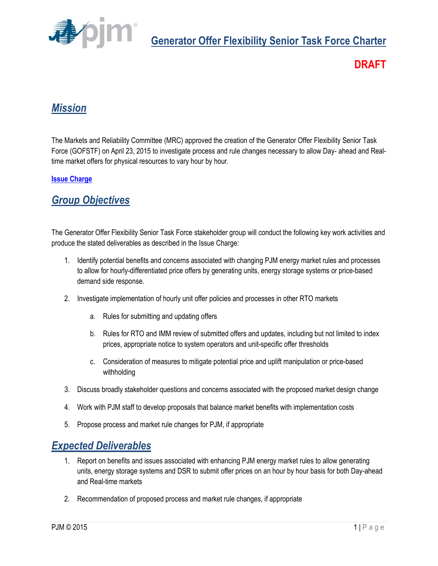

## **DRAFT**

## *Mission*

The Markets and Reliability Committee (MRC) approved the creation of the Generator Offer Flexibility Senior Task Force (GOFSTF) on April 23, 2015 to investigate process and rule changes necessary to allow Day- ahead and Realtime market offers for physical resources to vary hour by hour.

#### **[Issue Charge](http://pjm.com/%7E/media/committees-groups/task-forces/gofstf/postings/issue-charge.ashx)**

### *Group Objectives*

The Generator Offer Flexibility Senior Task Force stakeholder group will conduct the following key work activities and produce the stated deliverables as described in the Issue Charge:

- 1. Identify potential benefits and concerns associated with changing PJM energy market rules and processes to allow for hourly-differentiated price offers by generating units, energy storage systems or price-based demand side response.
- 2. Investigate implementation of hourly unit offer policies and processes in other RTO markets
	- a. Rules for submitting and updating offers
	- b. Rules for RTO and IMM review of submitted offers and updates, including but not limited to index prices, appropriate notice to system operators and unit-specific offer thresholds
	- c. Consideration of measures to mitigate potential price and uplift manipulation or price-based withholding
- 3. Discuss broadly stakeholder questions and concerns associated with the proposed market design change
- 4. Work with PJM staff to develop proposals that balance market benefits with implementation costs
- 5. Propose process and market rule changes for PJM, if appropriate

#### *Expected Deliverables*

- 1. Report on benefits and issues associated with enhancing PJM energy market rules to allow generating units, energy storage systems and DSR to submit offer prices on an hour by hour basis for both Day-ahead and Real-time markets
- 2. Recommendation of proposed process and market rule changes, if appropriate